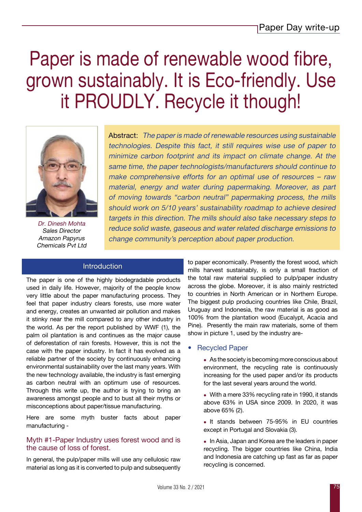# Paper is made of renewable wood fibre, grown sustainably. It is Eco-friendly. Use it PROUDLY. Recycle it though!



Dr. Dinesh Mohta Sales Director Amazon Papyrus Chemicals Pvt Ltd

Abstract: The paper is made of renewable resources using sustainable technologies. Despite this fact, it still requires wise use of paper to minimize carbon footprint and its impact on climate change. At the same time, the paper technologists/manufacturers should continue to make comprehensive efforts for an optimal use of resources – raw material, energy and water during papermaking. Moreover, as part of moving towards "carbon neutral" papermaking process, the mills should work on 5/10 years' sustainability roadmap to achieve desired targets in this direction. The mills should also take necessary steps to reduce solid waste, gaseous and water related discharge emissions to change community's perception about paper production.

## Introduction

The paper is one of the highly biodegradable products used in daily life. However, majority of the people know very little about the paper manufacturing process. They feel that paper industry clears forests, use more water and energy, creates an unwanted air pollution and makes it stinky near the mill compared to any other industry in the world. As per the report published by WWF (1), the palm oil plantation is and continues as the major cause of deforestation of rain forests. However, this is not the case with the paper industry. In fact it has evolved as a reliable partner of the society by continuously enhancing environmental sustainability over the last many years. With the new technology available, the industry is fast emerging as carbon neutral with an optimum use of resources. Through this write up, the author is trying to bring an awareness amongst people and to bust all their myths or misconceptions about paper/tissue manufacturing.

Here are some myth buster facts about paper manufacturing -

### Myth #1-Paper Industry uses forest wood and is the cause of loss of forest.

In general, the pulp/paper mills will use any cellulosic raw material as long as it is converted to pulp and subsequently to paper economically. Presently the forest wood, which mills harvest sustainably, is only a small fraction of the total raw material supplied to pulp/paper industry across the globe. Moreover, it is also mainly restricted to countries in North American or in Northern Europe. The biggest pulp producing countries like Chile, Brazil, Uruguay and Indonesia, the raw material is as good as 100% from the plantation wood (Eucalypt, Acacia and Pine). Presently the main raw materials, some of them show in picture 1, used by the industry are-

- **Recycled Paper** 
	- $\bullet$  As the society is becoming more conscious about environment, the recycling rate is continuously increasing for the used paper and/or its products for the last several years around the world.
	- With a mere 33% recycling rate in 1990, it stands above 63% in USA since 2009. In 2020, it was above 65% (2).
	- It stands between 75-95% in EU countries except in Portugal and Slovakia (3).
	- In Asia, Japan and Korea are the leaders in paper recycling. The bigger countries like China, India and Indonesia are catching up fast as far as paper recycling is concerned.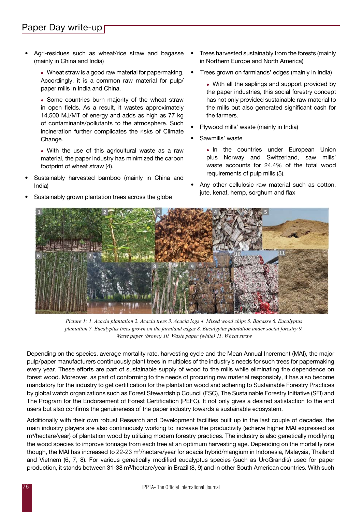Agri-residues such as wheat/rice straw and bagasse (mainly in China and India)

> $\bullet$  Wheat straw is a good raw material for papermaking. Accordingly, it is a common raw material for pulp/ paper mills in India and China.

> • Some countries burn majority of the wheat straw in open fields. As a result, it wastes approximately 14,500 MJ/MT of energy and adds as high as 77 kg of contaminants/pollutants to the atmosphere. Such incineration further complicates the risks of Climate Change.

> • With the use of this agricultural waste as a raw material, the paper industry has minimized the carbon footprint of wheat straw (4).

- Sustainably harvested bamboo (mainly in China and India)
- Sustainably grown plantation trees across the globe
- Trees harvested sustainably from the forests (mainly in Northern Europe and North America)
- Trees grown on farmlands' edges (mainly in India)
	- With all the saplings and support provided by the paper industries, this social forestry concept has not only provided sustainable raw material to the mills but also generated significant cash for the farmers.
- Plywood mills' waste (mainly in India)
- Sawmills' waste
	- . In the countries under European Union plus Norway and Switzerland, saw mills' waste accounts for 24.4% of the total wood requirements of pulp mills (5).
- Any other cellulosic raw material such as cotton, jute, kenaf, hemp, sorghum and flax



*Picture 1: 1. Acacia plantation 2. Acacia trees 3. Acacia logs 4. Mixed wood chips 5. Bagasse 6. Eucalyptus plantation 7. Eucalyptus trees grown on the farmland edges 8. Eucalyptus plantation under social forestry 9. Waste paper (brown) 10. Waste paper (white) 11. Wheat straw*

Depending on the species, average mortality rate, harvesting cycle and the Mean Annual Increment (MAI), the major pulp/paper manufacturers continuously plant trees in multiples of the industry's needs for such trees for papermaking every year. These efforts are part of sustainable supply of wood to the mills while eliminating the dependence on forest wood. Moreover, as part of conforming to the needs of procuring raw material responsibly, it has also become mandatory for the industry to get certification for the plantation wood and adhering to Sustainable Forestry Practices by global watch organizations such as Forest Stewardship Council (FSC), The Sustainable Forestry Initiative (SFI) and The Program for the Endorsement of Forest Certification (PEFC). It not only gives a desired satisfaction to the end users but also confirms the genuineness of the paper industry towards a sustainable ecosystem.

Additionally with their own robust Research and Development facilities built up in the last couple of decades, the main industry players are also continuously working to increase the productivity (achieve higher MAI expressed as m3 /hectare/year) of plantation wood by utilizing modern forestry practices. The industry is also genetically modifying the wood species to improve tonnage from each tree at an optimum harvesting age. Depending on the mortality rate though, the MAI has increased to 22-23 m<sup>3</sup>/hectare/year for acacia hybrid/mangium in Indonesia, Malaysia, Thailand and Vietnem (6, 7, 8). For various genetically modified eucalyptus species (such as UroGrandis) used for paper production, it stands between 31-38 m<sup>3</sup>/hectare/year in Brazil (8, 9) and in other South American countries. With such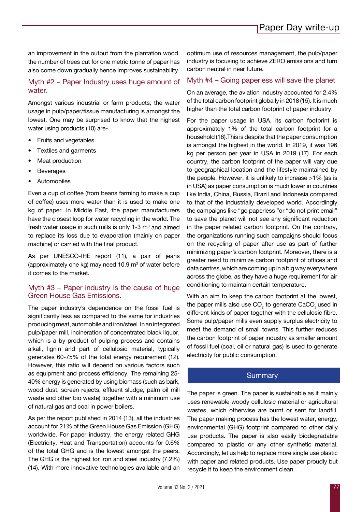an improvement in the output from the plantation wood, the number of trees cut for one metric tonne of paper has also come down gradually hence improves sustainability.

## Myth #2 – Paper Industry uses huge amount of water.

Amongst various industrial or farm products, the water usage in pulp/paper/tissue manufacturing is amongst the lowest. One may be surprised to know that the highest water using products (10) are-

- Fruits and vegetables.
- Textiles and garments
- Meat production
- **Beverages**
- **Automobiles**

Even a cup of coffee (from beans farming to make a cup of coffee) uses more water than it is used to make one kg of paper. In Middle East, the paper manufacturers have the closest loop for water recycling in the world. The fresh water usage in such mills is only 1-3  $\mathrm{m}^3$  and aimed to replace its loss due to evaporation (mainly on paper machine) or carried with the final product.

As per UNESCO-IHE report (11), a pair of jeans (approximately one kg) may need 10.9  $\mathrm{m}^3$  of water before it comes to the market.

#### Myth #3 – Paper industry is the cause of huge Green House Gas Emissions.

The paper industry's dependence on the fossil fuel is significantly less as compared to the same for industries producing meat, automobile and iron/steel. In an integrated pulp/paper mill, incineration of concentrated black liquor, which is a by-product of pulping process and contains alkali, lignin and part of cellulosic material, typically generates 60-75% of the total energy requirement (12). However, this ratio will depend on various factors such as equipment and process efficiency. The remaining 25- 40% energy is generated by using biomass (such as bark, wood dust, screen rejects, effluent sludge, palm oil mill waste and other bio waste) together with a minimum use of natural gas and coal in power boilers.

As per the report published in 2014 (13), all the industries account for 21% of the Green House Gas Emission (GHG) worldwide. For paper industry, the energy related GHG (Electricity, Heat and Transportation) accounts for 0.6% of the total GHG and is the lowest amongst the peers. The GHG is the highest for iron and steel industry (7.2%) (14). With more innovative technologies available and an optimum use of resources management, the pulp/paper industry is focusing to achieve ZERO emissions and turn carbon neutral in near future.

#### Myth #4 – Going paperless will save the planet

On an average, the aviation industry accounted for 2.4% of the total carbon footprint globally in 2018 (15). It is much higher than the total carbon footprint of paper industry.

For the paper usage in USA, its carbon footprint is approximately 1% of the total carbon footprint for a household (16).This is despite that the paper consumption is amongst the highest in the world. In 2019, it was 196 kg per person per year in USA in 2019 (17). For each country, the carbon footprint of the paper will vary due to geographical location and the lifestyle maintained by the people. However, it is unlikely to increase >1% (as is in USA) as paper consumption is much lower in countries like India, China, Russia, Brazil and Indonesia compared to that of the industrially developed world. Accordingly the campaigns like "go paperless "or "do not print email" to save the planet will not see any significant reduction in the paper related carbon footprint. On the contrary, the organizations running such campaigns should focus on the recycling of paper after use as part of further minimizing paper's carbon footprint. Moreover, there is a greater need to minimize carbon footprint of offices and data centres, which are coming up in a big way everywhere across the globe, as they have a huge requirement for air conditioning to maintain certain temperature.

With an aim to keep the carbon footprint at the lowest, the paper mills also use CO<sub>2</sub> to generate CaCO<sub>3</sub> used in different kinds of paper together with the cellulosic fibre. Some pulp/paper mills even supply surplus electricity to meet the demand of small towns. This further reduces the carbon footprint of paper industry as smaller amount of fossil fuel (coal, oil or natural gas) is used to generate electricity for public consumption.

### **Summary**

The paper is green. The paper is sustainable as it mainly uses renewable woody cellulosic material or agricultural wastes, which otherwise are burnt or sent for landfill. The paper making process has the lowest water, energy, environmental (GHG) footprint compared to other daily use products. The paper is also easily biodegradable compared to plastic or any other synthetic material. Accordingly, let us help to replace more single use plastic with paper and related products. Use paper proudly but recycle it to keep the environment clean.